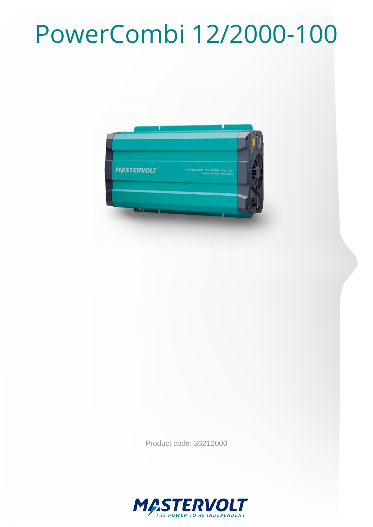## PowerCombi 12/2000-100



Product code: 36212000

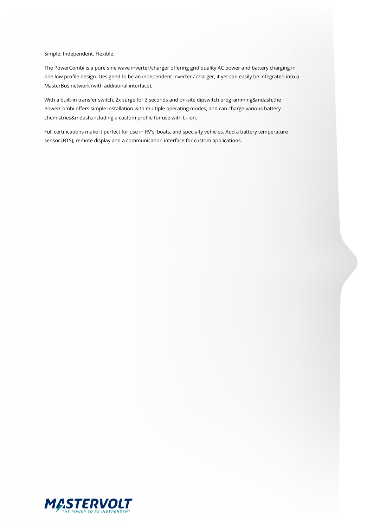Simple. Independent. Flexible.

The PowerCombi is a pure sine wave inverter/charger offering grid quality AC power and battery charging in one low profile design. Designed to be an independent inverter / charger, it yet can easily be integrated into a MasterBus network (with additional interface).

With a built-in transfer switch, 2x surge for 3 seconds and on-site dipswitch programming—the PowerCombi offers simple installation with multiple operating modes, and can charge various battery chemistries—including a custom profile for use with Li-ion.

Full certifications make it perfect for use in RV's, boats, and specialty vehicles. Add a battery temperature sensor (BTS), remote display and a communication interface for custom applications.